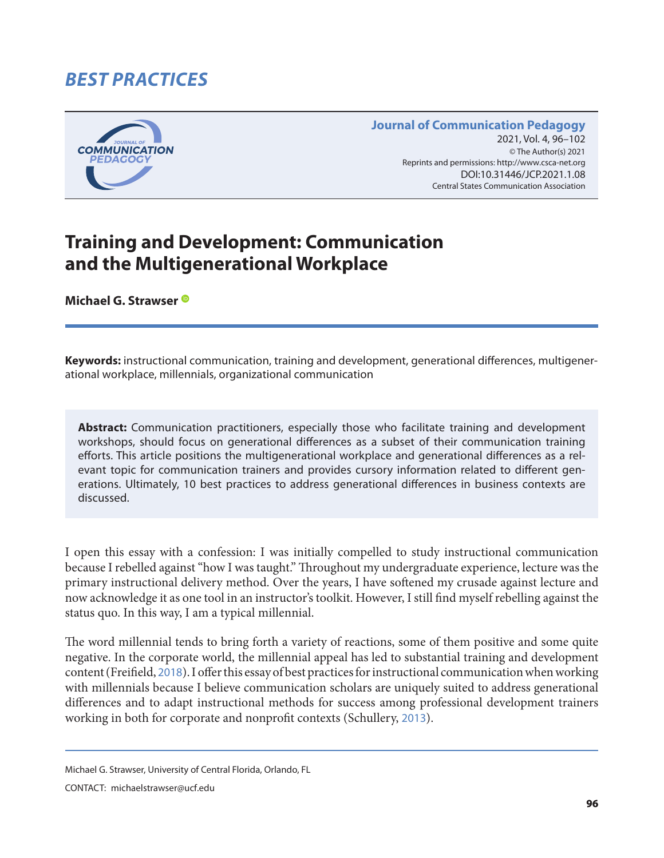# *BEST PRACTICES*



#### **Journal of Communication Pedagogy** 2021, Vol. 4, 96-102 © The Author(s) 2021 2021, Vol. 4, 96–102<br>The Author(s) 2021<br>Reprints and permissions: <http://www.csca-net.org> DOI:10.31446/JCP.2021.1.08 Central States Communication Association Central States Communication Association

# **Training and Development: Communication and the Multigenerational Workplace**

**Michael G. Strawser**

**Keywords:** instructional communication, training and development, generational differences, multigenerational workplace, millennials, organizational communication

**Abstract:** Communication practitioners, especially those who facilitate training and development workshops, should focus on generational differences as a subset of their communication training efforts. This article positions the multigenerational workplace and generational differences as a relevant topic for communication trainers and provides cursory information related to different generations. Ultimately, 10 best practices to address generational differences in business contexts are discussed.

I open this essay with a confession: I was initially compelled to study instructional communication because I rebelled against "how I was taught." Throughout my undergraduate experience, lecture was the primary instructional delivery method. Over the years, I have softened my crusade against lecture and now acknowledge it as one tool in an instructor's toolkit. However, I still find myself rebelling against the status quo. In this way, I am a typical millennial.

The word millennial tends to bring forth a variety of reactions, some of them positive and some quite negative. In the corporate world, the millennial appeal has led to substantial training and development content (Freifield, [2018](#page-5-0)). I offer this essay of best practices for instructional communication when working with millennials because I believe communication scholars are uniquely suited to address generational differences and to adapt instructional methods for success among professional development trainers working in both for corporate and nonprofit contexts (Schullery, [2013](#page-6-0)).

CONTACT: michaelstrawser@ucf.edu

Michael G. Strawser, University of Central Florida, Orlando, FL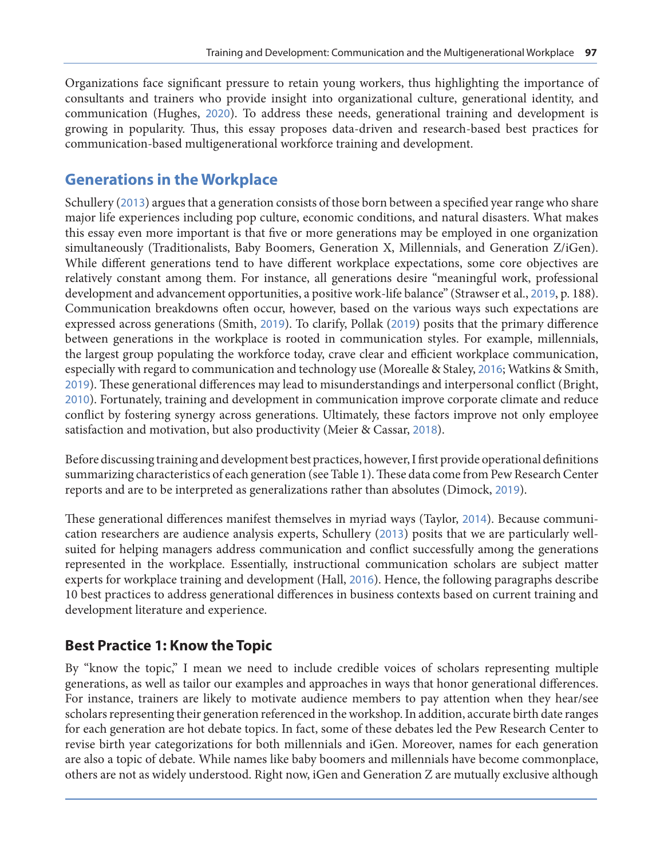Organizations face significant pressure to retain young workers, thus highlighting the importance of consultants and trainers who provide insight into organizational culture, generational identity, and communication (Hughes, [2020](#page-5-0)). To address these needs, generational training and development is growing in popularity. Thus, this essay proposes data-driven and research-based best practices for communication-based multigenerational workforce training and development.

#### **Generations in the Workplace**

Schullery ([2013](#page-6-0)) argues that a generation consists of those born between a specified year range who share major life experiences including pop culture, economic conditions, and natural disasters. What makes this essay even more important is that five or more generations may be employed in one organization simultaneously (Traditionalists, Baby Boomers, Generation X, Millennials, and Generation Z/iGen). While different generations tend to have different workplace expectations, some core objectives are relatively constant among them. For instance, all generations desire "meaningful work, professional development and advancement opportunities, a positive work-life balance" (Strawser et al., [2019](#page-6-0), p. 188). Communication breakdowns often occur, however, based on the various ways such expectations are expressed across generations (Smith, [2019](#page-6-0)). To clarify, Pollak ([2019](#page-5-0)) posits that the primary difference between generations in the workplace is rooted in communication styles. For example, millennials, the largest group populating the workforce today, crave clear and efficient workplace communication, especially with regard to communication and technology use (Morealle & Staley, [2016](#page-5-0); Watkins & Smith, [2019](#page-6-0)). These generational differences may lead to misunderstandings and interpersonal conflict (Bright, [2010](#page-5-0)). Fortunately, training and development in communication improve corporate climate and reduce conflict by fostering synergy across generations. Ultimately, these factors improve not only employee satisfaction and motivation, but also productivity (Meier & Cassar, [2018](#page-5-0)).

Before discussing training and development best practices, however, I first provide operational definitions summarizing characteristics of each generation (see Table 1). These data come from Pew Research Center reports and are to be interpreted as generalizations rather than absolutes (Dimock, [2019](#page-5-0)).

These generational differences manifest themselves in myriad ways (Taylor, [2014](#page-6-0)). Because communication researchers are audience analysis experts, Schullery ([2013](#page-6-0)) posits that we are particularly wellsuited for helping managers address communication and conflict successfully among the generations represented in the workplace. Essentially, instructional communication scholars are subject matter experts for workplace training and development (Hall, [2016](#page-5-0)). Hence, the following paragraphs describe 10 best practices to address generational differences in business contexts based on current training and development literature and experience.

#### **Best Practice 1: Know the Topic**

By "know the topic," I mean we need to include credible voices of scholars representing multiple generations, as well as tailor our examples and approaches in ways that honor generational differences. For instance, trainers are likely to motivate audience members to pay attention when they hear/see scholars representing their generation referenced in the workshop. In addition, accurate birth date ranges for each generation are hot debate topics. In fact, some of these debates led the Pew Research Center to revise birth year categorizations for both millennials and iGen. Moreover, names for each generation are also a topic of debate. While names like baby boomers and millennials have become commonplace, others are not as widely understood. Right now, iGen and Generation Z are mutually exclusive although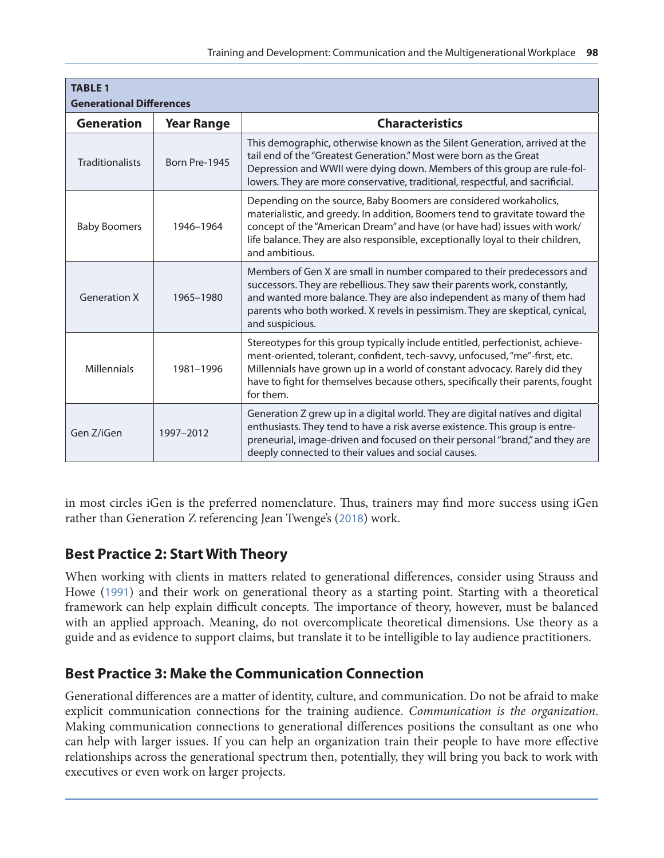| <b>TABLE 1</b><br><b>Generational Differences</b> |                   |                                                                                                                                                                                                                                                                                                                                             |
|---------------------------------------------------|-------------------|---------------------------------------------------------------------------------------------------------------------------------------------------------------------------------------------------------------------------------------------------------------------------------------------------------------------------------------------|
| <b>Generation</b>                                 | <b>Year Range</b> | <b>Characteristics</b>                                                                                                                                                                                                                                                                                                                      |
| <b>Traditionalists</b>                            | Born Pre-1945     | This demographic, otherwise known as the Silent Generation, arrived at the<br>tail end of the "Greatest Generation." Most were born as the Great<br>Depression and WWII were dying down. Members of this group are rule-fol-<br>lowers. They are more conservative, traditional, respectful, and sacrificial.                               |
| <b>Baby Boomers</b>                               | 1946-1964         | Depending on the source, Baby Boomers are considered workaholics,<br>materialistic, and greedy. In addition, Boomers tend to gravitate toward the<br>concept of the "American Dream" and have (or have had) issues with work/<br>life balance. They are also responsible, exceptionally loyal to their children,<br>and ambitious.          |
| <b>Generation X</b>                               | 1965-1980         | Members of Gen X are small in number compared to their predecessors and<br>successors. They are rebellious. They saw their parents work, constantly,<br>and wanted more balance. They are also independent as many of them had<br>parents who both worked. X revels in pessimism. They are skeptical, cynical,<br>and suspicious.           |
| <b>Millennials</b>                                | 1981-1996         | Stereotypes for this group typically include entitled, perfectionist, achieve-<br>ment-oriented, tolerant, confident, tech-savvy, unfocused, "me"-first, etc.<br>Millennials have grown up in a world of constant advocacy. Rarely did they<br>have to fight for themselves because others, specifically their parents, fought<br>for them. |
| Gen Z/iGen                                        | 1997-2012         | Generation Z grew up in a digital world. They are digital natives and digital<br>enthusiasts. They tend to have a risk averse existence. This group is entre-<br>preneurial, image-driven and focused on their personal "brand," and they are<br>deeply connected to their values and social causes.                                        |

in most circles iGen is the preferred nomenclature. Thus, trainers may find more success using iGen rather than Generation Z referencing Jean Twenge's ([2018](#page-6-0)) work.

# **Best Practice 2: Start With Theory**

When working with clients in matters related to generational differences, consider using Strauss and Howe ([1991](#page-6-0)) and their work on generational theory as a starting point. Starting with a theoretical framework can help explain difficult concepts. The importance of theory, however, must be balanced with an applied approach. Meaning, do not overcomplicate theoretical dimensions. Use theory as a guide and as evidence to support claims, but translate it to be intelligible to lay audience practitioners.

# **Best Practice 3: Make the Communication Connection**

Generational differences are a matter of identity, culture, and communication. Do not be afraid to make explicit communication connections for the training audience. *Communication is the organization*. Making communication connections to generational differences positions the consultant as one who can help with larger issues. If you can help an organization train their people to have more effective relationships across the generational spectrum then, potentially, they will bring you back to work with executives or even work on larger projects.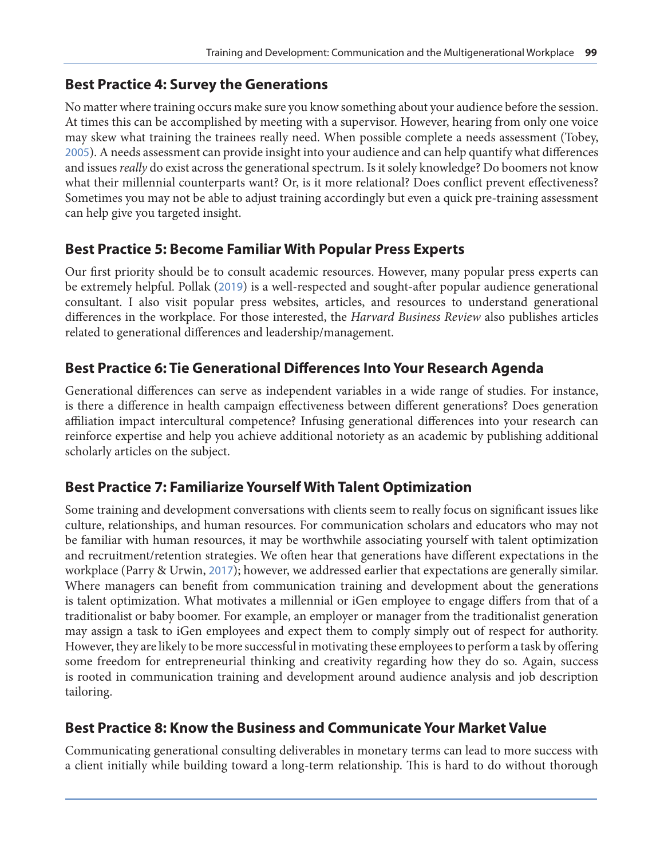# **Best Practice 4: Survey the Generations**

No matter where training occurs make sure you know something about your audience before the session. At times this can be accomplished by meeting with a supervisor. However, hearing from only one voice may skew what training the trainees really need. When possible complete a needs assessment (Tobey, [2005](#page-6-0)). A needs assessment can provide insight into your audience and can help quantify what differences and issues *really* do exist across the generational spectrum. Is it solely knowledge? Do boomers not know what their millennial counterparts want? Or, is it more relational? Does conflict prevent effectiveness? Sometimes you may not be able to adjust training accordingly but even a quick pre-training assessment can help give you targeted insight.

# **Best Practice 5: Become Familiar With Popular Press Experts**

Our first priority should be to consult academic resources. However, many popular press experts can be extremely helpful. Pollak ([2019](#page-5-0)) is a well-respected and sought-after popular audience generational consultant. I also visit popular press websites, articles, and resources to understand generational differences in the workplace. For those interested, the *Harvard Business Review* also publishes articles related to generational differences and leadership/management.

# **Best Practice 6: Tie Generational Differences Into Your Research Agenda**

Generational differences can serve as independent variables in a wide range of studies. For instance, is there a difference in health campaign effectiveness between different generations? Does generation affiliation impact intercultural competence? Infusing generational differences into your research can reinforce expertise and help you achieve additional notoriety as an academic by publishing additional scholarly articles on the subject.

# **Best Practice 7: Familiarize Yourself With Talent Optimization**

Some training and development conversations with clients seem to really focus on significant issues like culture, relationships, and human resources. For communication scholars and educators who may not be familiar with human resources, it may be worthwhile associating yourself with talent optimization and recruitment/retention strategies. We often hear that generations have different expectations in the workplace (Parry & Urwin, [2017](#page-5-0)); however, we addressed earlier that expectations are generally similar. Where managers can benefit from communication training and development about the generations is talent optimization. What motivates a millennial or iGen employee to engage differs from that of a traditionalist or baby boomer. For example, an employer or manager from the traditionalist generation may assign a task to iGen employees and expect them to comply simply out of respect for authority. However, they are likely to be more successful in motivating these employees to perform a task by offering some freedom for entrepreneurial thinking and creativity regarding how they do so. Again, success is rooted in communication training and development around audience analysis and job description tailoring.

# **Best Practice 8: Know the Business and Communicate Your Market Value**

Communicating generational consulting deliverables in monetary terms can lead to more success with a client initially while building toward a long-term relationship. This is hard to do without thorough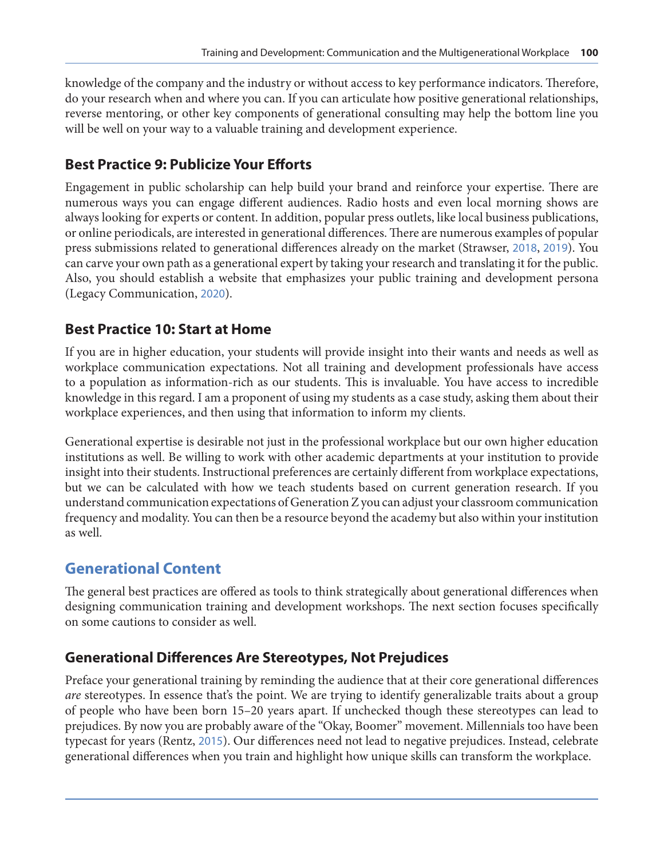knowledge of the company and the industry or without access to key performance indicators. Therefore, do your research when and where you can. If you can articulate how positive generational relationships, reverse mentoring, or other key components of generational consulting may help the bottom line you will be well on your way to a valuable training and development experience.

# **Best Practice 9: Publicize Your Efforts**

Engagement in public scholarship can help build your brand and reinforce your expertise. There are numerous ways you can engage different audiences. Radio hosts and even local morning shows are always looking for experts or content. In addition, popular press outlets, like local business publications, or online periodicals, are interested in generational differences. There are numerous examples of popular press submissions related to generational differences already on the market (Strawser, [2018](#page-6-0), [2019](#page-6-0)). You can carve your own path as a generational expert by taking your research and translating it for the public. Also, you should establish a website that emphasizes your public training and development persona (Legacy Communication, [2020](#page-5-0)).

#### **Best Practice 10: Start at Home**

If you are in higher education, your students will provide insight into their wants and needs as well as workplace communication expectations. Not all training and development professionals have access to a population as information-rich as our students. This is invaluable. You have access to incredible knowledge in this regard. I am a proponent of using my students as a case study, asking them about their workplace experiences, and then using that information to inform my clients.

Generational expertise is desirable not just in the professional workplace but our own higher education institutions as well. Be willing to work with other academic departments at your institution to provide insight into their students. Instructional preferences are certainly different from workplace expectations, but we can be calculated with how we teach students based on current generation research. If you understand communication expectations of Generation Z you can adjust your classroom communication frequency and modality. You can then be a resource beyond the academy but also within your institution as well.

# **Generational Content**

The general best practices are offered as tools to think strategically about generational differences when designing communication training and development workshops. The next section focuses specifically on some cautions to consider as well.

# **Generational Differences Are Stereotypes, Not Prejudices**

Preface your generational training by reminding the audience that at their core generational differences *are* stereotypes. In essence that's the point. We are trying to identify generalizable traits about a group of people who have been born 15–20 years apart. If unchecked though these stereotypes can lead to prejudices. By now you are probably aware of the "Okay, Boomer" movement. Millennials too have been typecast for years (Rentz, [2015](#page-6-0)). Our differences need not lead to negative prejudices. Instead, celebrate generational differences when you train and highlight how unique skills can transform the workplace.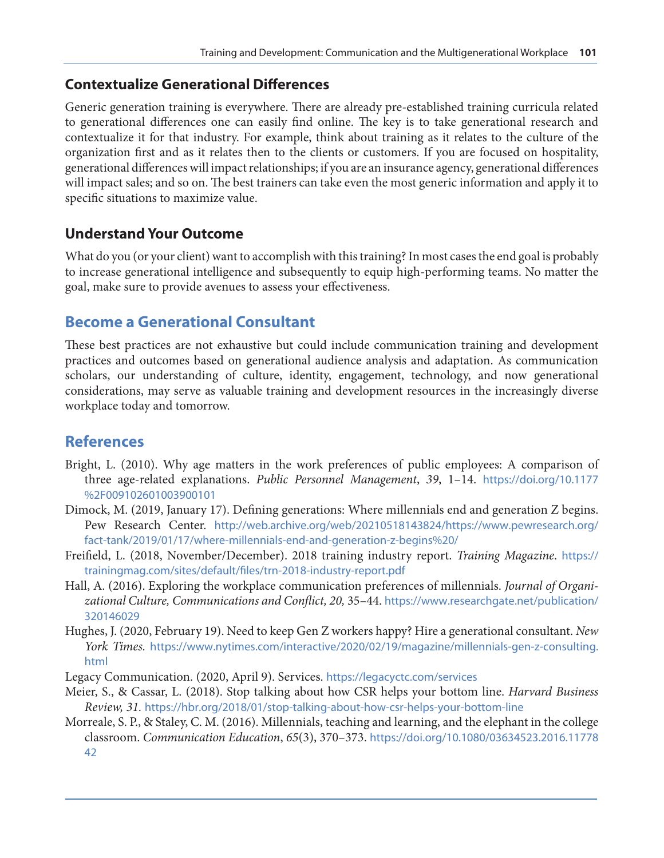#### <span id="page-5-0"></span>**Contextualize Generational Differences**

Generic generation training is everywhere. There are already pre-established training curricula related to generational differences one can easily find online. The key is to take generational research and contextualize it for that industry. For example, think about training as it relates to the culture of the organization first and as it relates then to the clients or customers. If you are focused on hospitality, generational differences will impact relationships; if you are an insurance agency, generational differences will impact sales; and so on. The best trainers can take even the most generic information and apply it to specific situations to maximize value.

#### **Understand Your Outcome**

What do you (or your client) want to accomplish with this training? In most cases the end goal is probably to increase generational intelligence and subsequently to equip high-performing teams. No matter the goal, make sure to provide avenues to assess your effectiveness.

#### **Become a Generational Consultant**

These best practices are not exhaustive but could include communication training and development practices and outcomes based on generational audience analysis and adaptation. As communication scholars, our understanding of culture, identity, engagement, technology, and now generational considerations, may serve as valuable training and development resources in the increasingly diverse workplace today and tomorrow.

# **References**

- Bright, L. (2010). Why age matters in the work preferences of public employees: A comparison of three age-related explanations. *Public Personnel Management*, *39*, 1–14. [https://doi.org/10.1177](https://doi.org/10.1177%2F009102601003900101) [%2F009102601003900101](https://doi.org/10.1177%2F009102601003900101)
- Dimock, M. (2019, January 17). Defining generations: Where millennials end and generation Z begins. Pew Research Center. [http://web.archive.org/web/20210518143824/https://www.pewresearch.org/](http://web.archive.org/web/20210518143824/https://www.pewresearch.org/fact-tank/2019/01/17/where-millennials-end-and-generation-z-begins%20/) [fact-tank/2019/01/17/where-millennials-end-and-generation-z-begins%20/](http://web.archive.org/web/20210518143824/https://www.pewresearch.org/fact-tank/2019/01/17/where-millennials-end-and-generation-z-begins%20/)
- Freifield, L. (2018, November/December). 2018 training industry report. *Training Magazine*. [https://](https://trainingmag.com/sites/default/files/trn-2018-industry-report.pdf) [trainingmag.com/sites/default/files/trn-2018-industry-report.pdf](https://trainingmag.com/sites/default/files/trn-2018-industry-report.pdf)
- Hall, A. (2016). Exploring the workplace communication preferences of millennials. *Journal of Organizational Culture, Communications and Conflict, 20,* 35–44. [https://www.researchgate.net/publication/](https://www.researchgate.net/publication/320146029) [320146029](https://www.researchgate.net/publication/320146029)
- Hughes, J. (2020, February 19). Need to keep Gen Z workers happy? Hire a generational consultant. *New York Times.* [https://www.nytimes.com/interactive/2020/02/19/magazine/millennials-gen-z-consulting.](https://www.nytimes.com/interactive/2020/02/19/magazine/millennials-gen-z-consulting.html) [html](https://www.nytimes.com/interactive/2020/02/19/magazine/millennials-gen-z-consulting.html)
- Legacy Communication. (2020, April 9). Services. <https://legacyctc.com/services>
- Meier, S., & Cassar, L. (2018). Stop talking about how CSR helps your bottom line. *Harvard Business Review, 31.* <https://hbr.org/2018/01/stop-talking-about-how-csr-helps-your-bottom-line>
- Morreale, S. P., & Staley, C. M. (2016). Millennials, teaching and learning, and the elephant in the college classroom. *Communication Education*, *65*(3), 370–373. [https://doi.org/10.1080/03634523.2016.11778](https://doi.org/10.1080/03634523.2016.1177842) [42](https://doi.org/10.1080/03634523.2016.1177842)